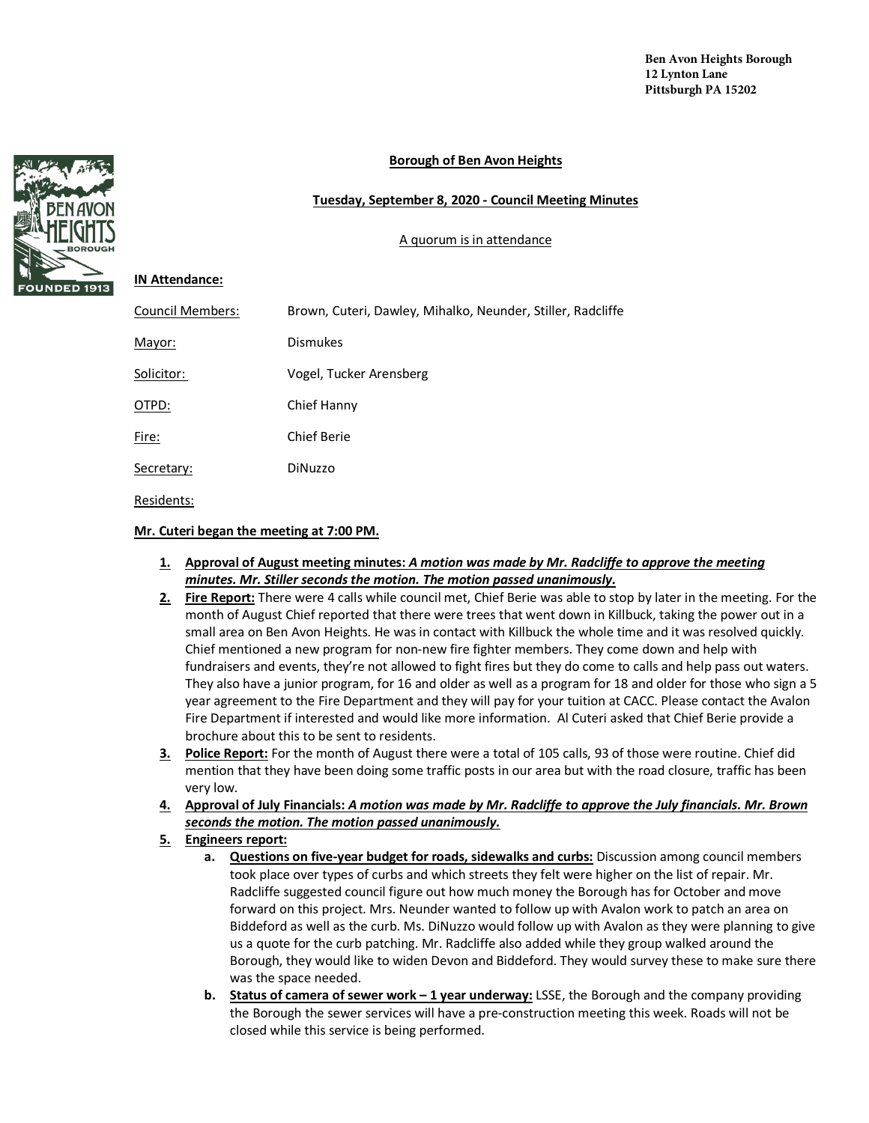## **Borough of Ben Avon Heights**

## **Tuesday, September 8, 2020 - Council Meeting Minutes**

## A quorum is in attendance

## **IN Attendance:**

| <b>Council Members:</b> | Brown, Cuteri, Dawley, Mihalko, Neunder, Stiller, Radcliffe |
|-------------------------|-------------------------------------------------------------|
| Mayor:                  | <b>Dismukes</b>                                             |
| Solicitor:              | Vogel, Tucker Arensberg                                     |
| OTPD:                   | Chief Hanny                                                 |
| Fire:                   | <b>Chief Berie</b>                                          |
| Secretary:              | DiNuzzo                                                     |
| Residents:              |                                                             |

**Mr. Cuteri began the meeting at 7:00 PM.** 

- **1. Approval of August meeting minutes:** *A motion was made by Mr. Radcliffe to approve the meeting minutes. Mr. Stiller seconds the motion. The motion passed unanimously.*
- **2. Fire Report:** There were 4 calls while council met, Chief Berie was able to stop by later in the meeting. For the month of August Chief reported that there were trees that went down in Killbuck, taking the power out in a small area on Ben Avon Heights. He was in contact with Killbuck the whole time and it was resolved quickly. Chief mentioned a new program for non-new fire fighter members. They come down and help with fundraisers and events, they're not allowed to fight fires but they do come to calls and help pass out waters. They also have a junior program, for 16 and older as well as a program for 18 and older for those who sign a 5 year agreement to the Fire Department and they will pay for your tuition at CACC. Please contact the Avalon Fire Department if interested and would like more information. Al Cuteri asked that Chief Berie provide a brochure about this to be sent to residents.
- **3. Police Report:** For the month of August there were a total of 105 calls, 93 of those were routine. Chief did mention that they have been doing some traffic posts in our area but with the road closure, traffic has been very low.
- **4. Approval of July Financials:** *A motion was made by Mr. Radcliffe to approve the July financials. Mr. Brown seconds the motion. The motion passed unanimously.*
- **5. Engineers report:**
	- **a. Questions on five-year budget for roads, sidewalks and curbs:** Discussion among council members took place over types of curbs and which streets they felt were higher on the list of repair. Mr. Radcliffe suggested council figure out how much money the Borough has for October and move forward on this project. Mrs. Neunder wanted to follow up with Avalon work to patch an area on Biddeford as well as the curb. Ms. DiNuzzo would follow up with Avalon as they were planning to give us a quote for the curb patching. Mr. Radcliffe also added while they group walked around the Borough, they would like to widen Devon and Biddeford. They would survey these to make sure there was the space needed.
	- **b. Status of camera of sewer work – 1 year underway:** LSSE, the Borough and the company providing the Borough the sewer services will have a pre-construction meeting this week. Roads will not be closed while this service is being performed.